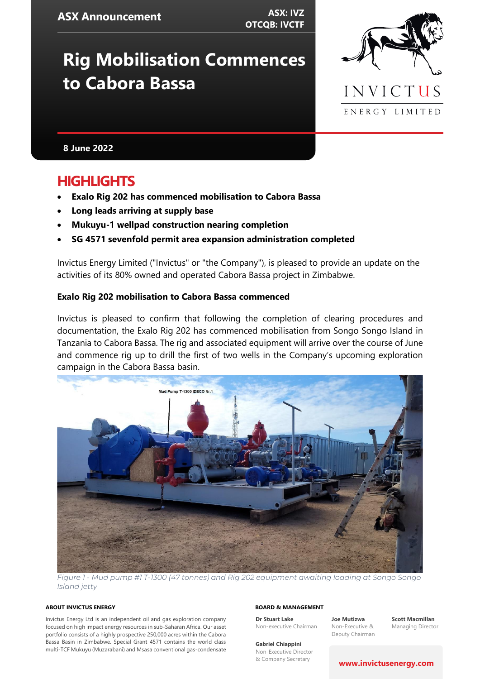**ASX: IVZ OTCQB: IVCTF**

# **Rig Mobilisation Commences to Cabora Bassa**



**8 June 2022**

# **HIGHLIGHTS**

- **Exalo Rig 202 has commenced mobilisation to Cabora Bassa**
- **Long leads arriving at supply base**
- **Mukuyu-1 wellpad construction nearing completion**
- **SG 4571 sevenfold permit area expansion administration completed**

Invictus Energy Limited ("Invictus" or "the Company"), is pleased to provide an update on the activities of its 80% owned and operated Cabora Bassa project in Zimbabwe.

#### **Exalo Rig 202 mobilisation to Cabora Bassa commenced**

Invictus is pleased to confirm that following the completion of clearing procedures and documentation, the Exalo Rig 202 has commenced mobilisation from Songo Songo Island in Tanzania to Cabora Bassa. The rig and associated equipment will arrive over the course of June and commence rig up to drill the first of two wells in the Company's upcoming exploration campaign in the Cabora Bassa basin.



*Figure 1 - Mud pump #1 T-1300 (47 tonnes) and Rig 202 equipment awaiting loading at Songo Songo Island jetty*

#### **ABOUT INVICTUS ENERGY**

Invictus Energy Ltd is an independent oil and gas exploration company focused on high impact energy resources in sub-Saharan Africa. Our asset portfolio consists of a highly prospective 250,000 acres within the Cabora Bassa Basin in Zimbabwe. Special Grant 4571 contains the world class multi-TCF Mukuyu (Muzarabani) and Msasa conventional gas-condensate

#### **BOARD & MANAGEMENT**

**Dr Stuart Lake** Non-executive Chairman **Joe Mutizwa** Non-Executive & Deputy Chairman

**Scott Macmillan** Managing Director

**Gabriel Chiappini** Non-Executive Director & Company Secretary

#### **[www.invictusenergy.com](http://www.invictusenergy.com/)**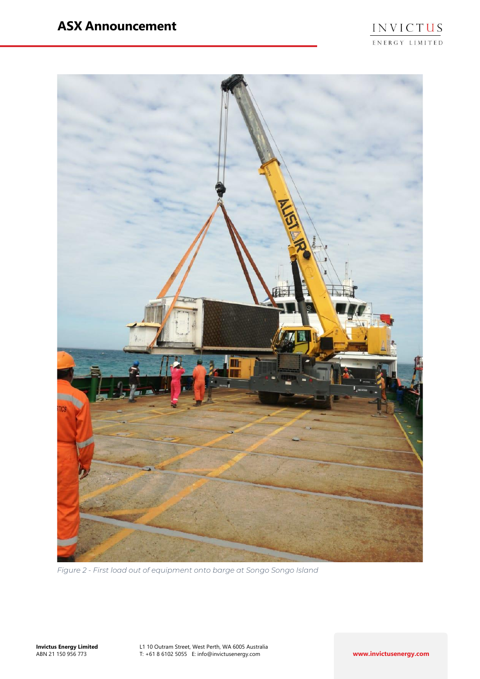



*Figure 2 - First load out of equipment onto barge at Songo Songo Island*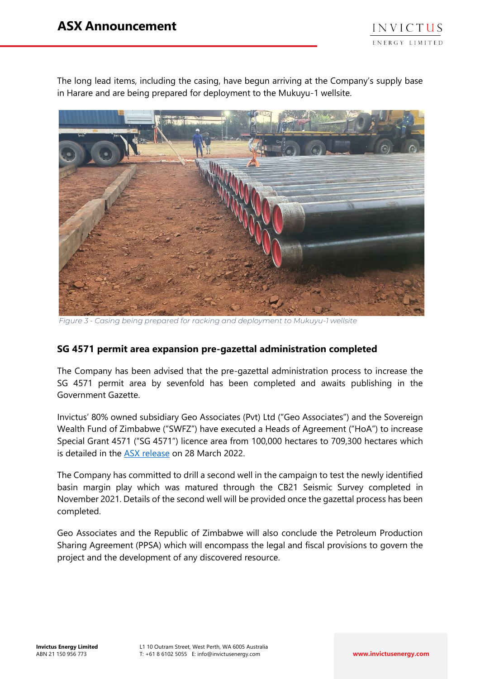The long lead items, including the casing, have begun arriving at the Company's supply base in Harare and are being prepared for deployment to the Mukuyu-1 wellsite.



*Figure 3 - Casing being prepared for racking and deployment to Mukuyu-1 wellsite*

## **SG 4571 permit area expansion pre-gazettal administration completed**

The Company has been advised that the pre-gazettal administration process to increase the SG 4571 permit area by sevenfold has been completed and awaits publishing in the Government Gazette.

Invictus' 80% owned subsidiary Geo Associates (Pvt) Ltd ("Geo Associates") and the Sovereign Wealth Fund of Zimbabwe ("SWFZ") have executed a Heads of Agreement ("HoA") to increase Special Grant 4571 ("SG 4571") licence area from 100,000 hectares to 709,300 hectares which is detailed in the [ASX release](https://www.invictusenergy.com/wp-content/uploads/2022/03/61083611.pdf) on 28 March 2022.

The Company has committed to drill a second well in the campaign to test the newly identified basin margin play which was matured through the CB21 Seismic Survey completed in November 2021. Details of the second well will be provided once the gazettal process has been completed.

Geo Associates and the Republic of Zimbabwe will also conclude the Petroleum Production Sharing Agreement (PPSA) which will encompass the legal and fiscal provisions to govern the project and the development of any discovered resource.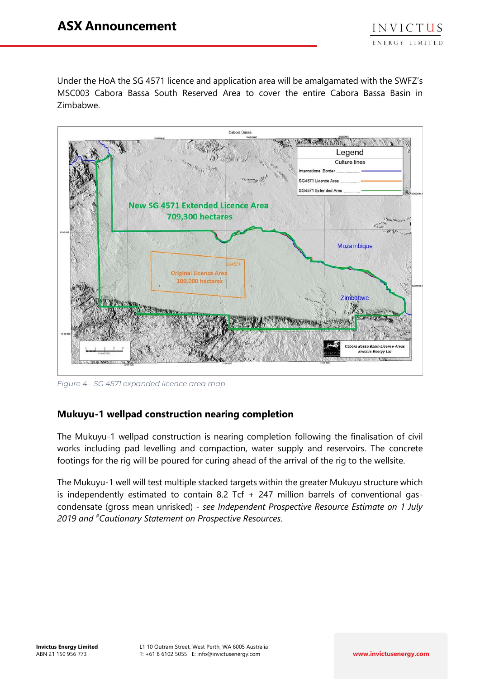Under the HoA the SG 4571 licence and application area will be amalgamated with the SWFZ's MSC003 Cabora Bassa South Reserved Area to cover the entire Cabora Bassa Basin in Zimbabwe.



*Figure 4 - SG 4571 expanded licence area map*

## **Mukuyu-1 wellpad construction nearing completion**

The Mukuyu-1 wellpad construction is nearing completion following the finalisation of civil works including pad levelling and compaction, water supply and reservoirs. The concrete footings for the rig will be poured for curing ahead of the arrival of the rig to the wellsite.

The Mukuyu-1 well will test multiple stacked targets within the greater Mukuyu structure which is independently estimated to contain 8.2 Tcf  $+$  247 million barrels of conventional gascondensate (gross mean unrisked) - *see Independent Prospective Resource Estimate on 1 July 2019 and #Cautionary Statement on Prospective Resources*.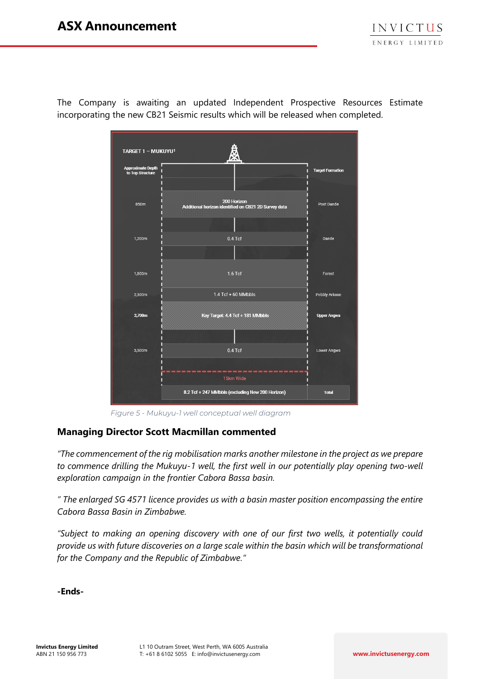| TARGET 1 - MUKUYU <sup>1</sup>               |                                                                     |                         |
|----------------------------------------------|---------------------------------------------------------------------|-------------------------|
| <b>Approximate Depth</b><br>to Top Structure |                                                                     | <b>Target Formation</b> |
| 850m                                         | 200 Horizon<br>Additional horizon identified on CB21 2D Survey data | Post Dande              |
| 1,200m                                       | $0.4$ Tcf                                                           | Dande                   |
| 1,800m                                       | 1.6 Tcf                                                             | Forest                  |
| 2,300m                                       | $1.4$ Tcf + 60 MMbbls                                               | Pebbly Arkose           |
| 2,700m                                       | Key Target: 4.4 Tcf + 181 MMbbls                                    | <b>Upper Angwa</b>      |
| 3,500m                                       | $0.4$ Tcf                                                           | Lower Angwa             |
|                                              | 15km Wide<br>8.2 Tcf + 247 MMbbls (excluding New 200 Horizon)       | <b>Total</b>            |

The Company is awaiting an updated Independent Prospective Resources Estimate incorporating the new CB21 Seismic results which will be released when completed.

*Figure 5 - Mukuyu-1 well conceptual well diagram*

#### **Managing Director Scott Macmillan commented**

*"The commencement of the rig mobilisation marks another milestone in the project as we prepare to commence drilling the Mukuyu-1 well, the first well in our potentially play opening two-well exploration campaign in the frontier Cabora Bassa basin.*

*" The enlarged SG 4571 licence provides us with a basin master position encompassing the entire Cabora Bassa Basin in Zimbabwe.* 

*"Subject to making an opening discovery with one of our first two wells, it potentially could provide us with future discoveries on a large scale within the basin which will be transformational for the Company and the Republic of Zimbabwe."*

**-Ends-**